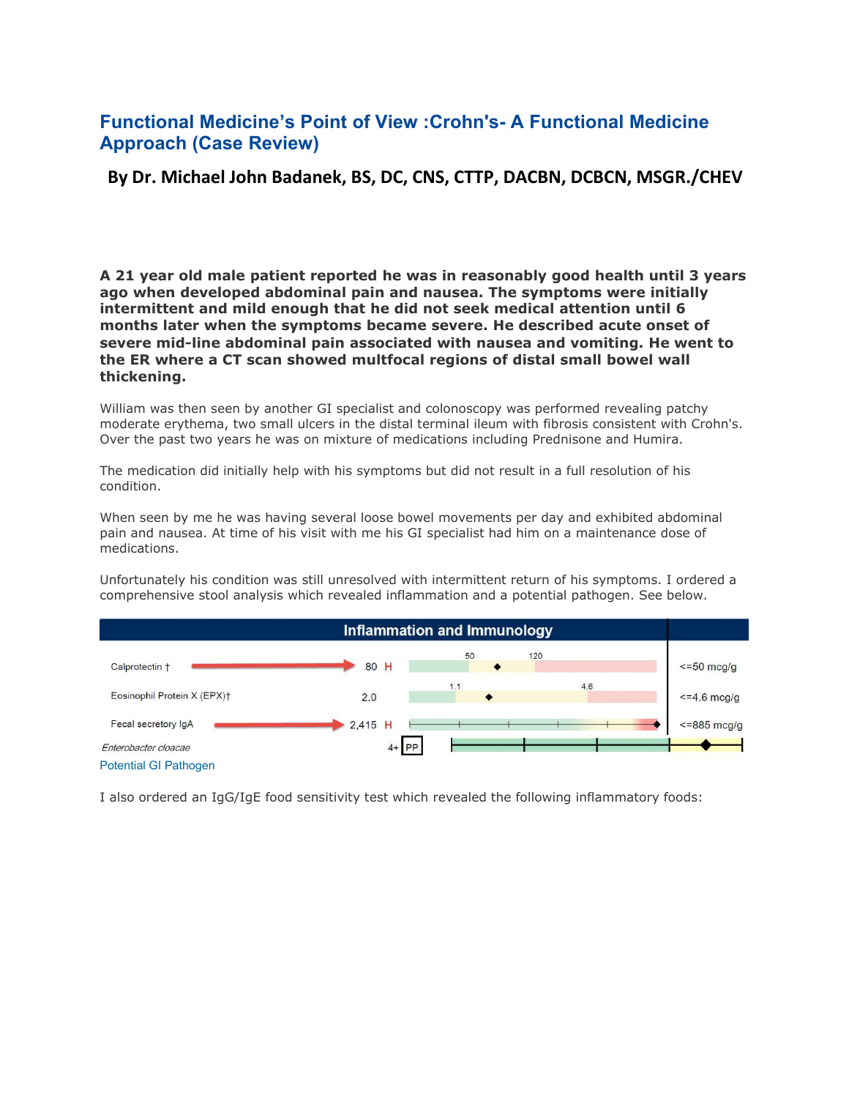## **Functional Medicine's Point of View :Crohn's- A Functional Medicine Approach (Case Review)**

## **By Dr. Michael John Badanek, BS, DC, CNS, CTTP, DACBN, DCBCN, MSGR./CHEV**

**A 21 year old male patient reported he was in reasonably good health until3 years ago when developed abdominal pain and nausea. The symptoms were initially intermittent and mild enough that he did not seek medical attention until 6 months later when the symptoms became severe. He described acute onset of severe mid-line abdominal pain associated with nausea and vomiting. He went to the ER where a CT scan showed multfocal regions of distal small bowel wall thickening.**

William was then seen by another GI specialist and colonoscopy was performed revealing patchy moderate erythema, two small ulcers in the distal terminal ileum with fibrosis consistent with Crohn's. Over the past two years he was on mixture of medications including Prednisone and Humira.

The medication did initially help with his symptoms but did not result in a full resolution of his condition.

When seen by me he was having several loose bowel movements per day and exhibited abdominal pain and nausea. At time of his visit with me his GI specialist had him on a maintenance dose of medications.

Unfortunately his condition was still unresolved with intermittent return of his symptoms. I ordered a comprehensive stool analysis which revealed inflammation and a potential pathogen. See below.



I also ordered an IgG/IgE food sensitivity test which revealed the following inflammatory foods: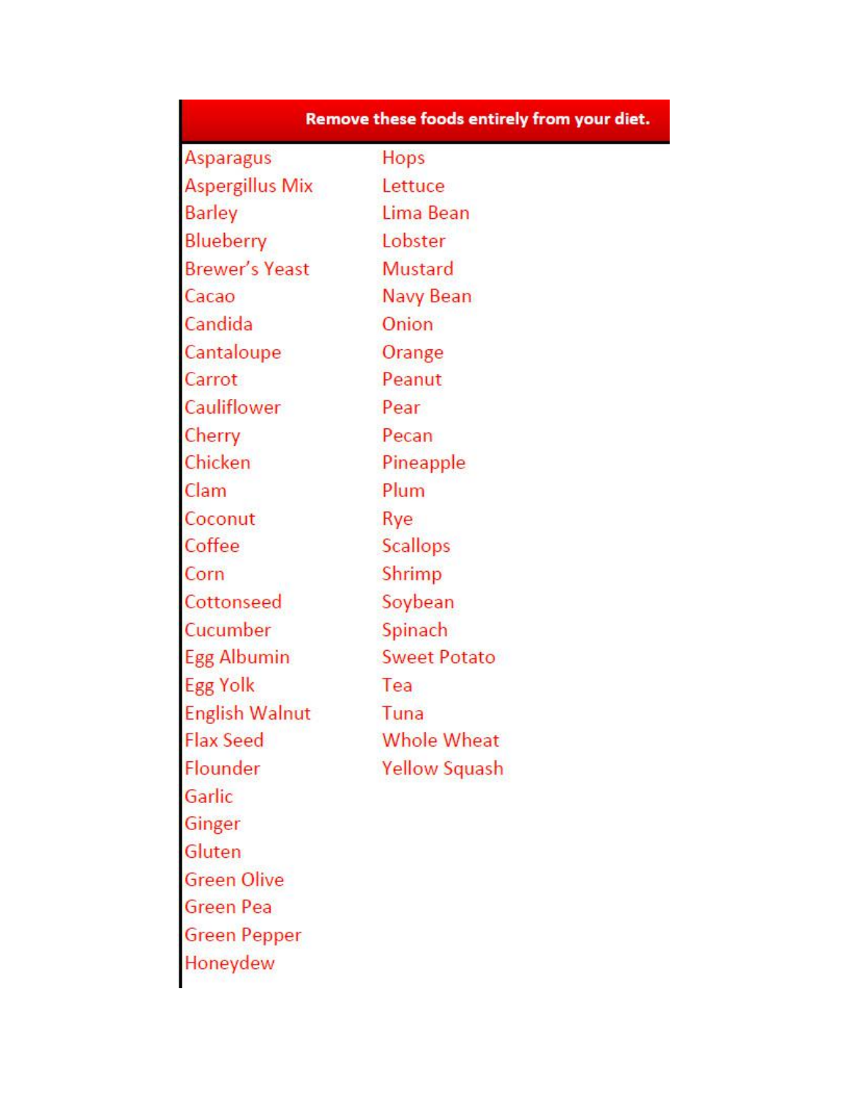| Remove these foods entirely from your diet. |                      |
|---------------------------------------------|----------------------|
| <b>Asparagus</b>                            | Hops                 |
| <b>Aspergillus Mix</b>                      | Lettuce              |
| <b>Barley</b>                               | Lima Bean            |
| Blueberry                                   | Lobster              |
| <b>Brewer's Yeast</b>                       | <b>Mustard</b>       |
| Cacao                                       | Navy Bean            |
| Candida                                     | Onion                |
| Cantaloupe                                  | Orange               |
| Carrot                                      | Peanut               |
| Cauliflower                                 | Pear                 |
| Cherry                                      | Pecan                |
| Chicken                                     | Pineapple            |
| Clam                                        | Plum                 |
| Coconut                                     | Rye                  |
| Coffee                                      | <b>Scallops</b>      |
| Corn                                        | Shrimp               |
| Cottonseed                                  | Soybean              |
| Cucumber                                    | Spinach              |
| Egg Albumin                                 | <b>Sweet Potato</b>  |
| <b>Egg Yolk</b>                             | Tea                  |
| <b>English Walnut</b>                       | Tuna                 |
| <b>Flax Seed</b>                            | <b>Whole Wheat</b>   |
| Flounder                                    | <b>Yellow Squash</b> |
| Garlic                                      |                      |
| Ginger                                      |                      |
| Gluten                                      |                      |
| <b>Green Olive</b>                          |                      |
| Green Pea                                   |                      |
| <b>Green Pepper</b>                         |                      |
| Honeydew                                    |                      |
|                                             |                      |